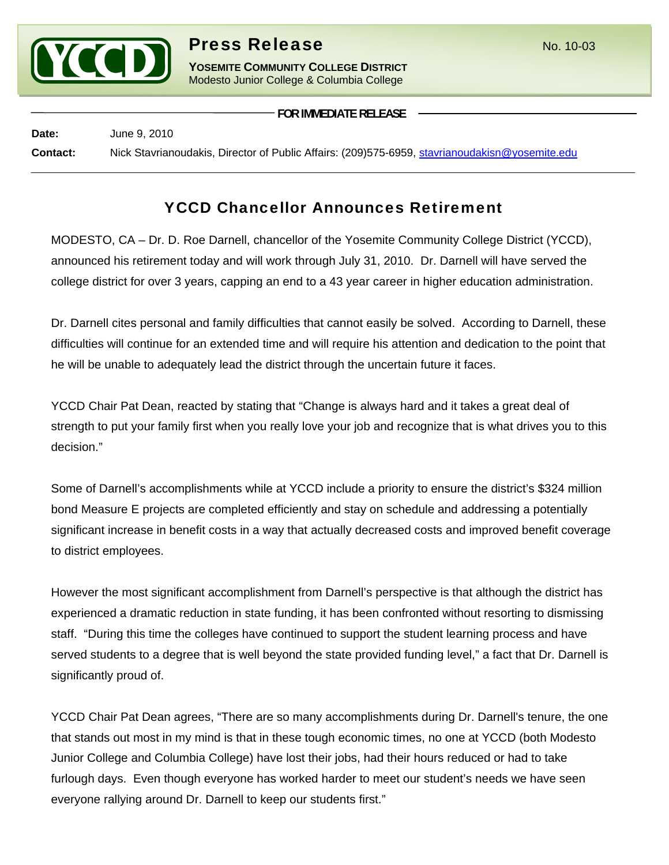

## **Press Release** No. 10-03

**YOSEMITE COMMUNITY COLLEGE DISTRICT** Modesto Junior College & Columbia College

**FOR IMMEDIATE RELEASE**

**Date:** June 9, 2010 **Contact:** Nick Stavrianoudakis, Director of Public Affairs: (209)575-6959, stavrianoudakisn@yosemite.edu

## YCCD Chancellor Announces Retirement

MODESTO, CA – Dr. D. Roe Darnell, chancellor of the Yosemite Community College District (YCCD), announced his retirement today and will work through July 31, 2010. Dr. Darnell will have served the college district for over 3 years, capping an end to a 43 year career in higher education administration.

Dr. Darnell cites personal and family difficulties that cannot easily be solved. According to Darnell, these difficulties will continue for an extended time and will require his attention and dedication to the point that he will be unable to adequately lead the district through the uncertain future it faces.

YCCD Chair Pat Dean, reacted by stating that "Change is always hard and it takes a great deal of strength to put your family first when you really love your job and recognize that is what drives you to this decision."

Some of Darnell's accomplishments while at YCCD include a priority to ensure the district's \$324 million bond Measure E projects are completed efficiently and stay on schedule and addressing a potentially significant increase in benefit costs in a way that actually decreased costs and improved benefit coverage to district employees.

However the most significant accomplishment from Darnell's perspective is that although the district has experienced a dramatic reduction in state funding, it has been confronted without resorting to dismissing staff. "During this time the colleges have continued to support the student learning process and have served students to a degree that is well beyond the state provided funding level," a fact that Dr. Darnell is significantly proud of.

YCCD Chair Pat Dean agrees, "There are so many accomplishments during Dr. Darnell's tenure, the one that stands out most in my mind is that in these tough economic times, no one at YCCD (both Modesto Junior College and Columbia College) have lost their jobs, had their hours reduced or had to take furlough days. Even though everyone has worked harder to meet our student's needs we have seen everyone rallying around Dr. Darnell to keep our students first."